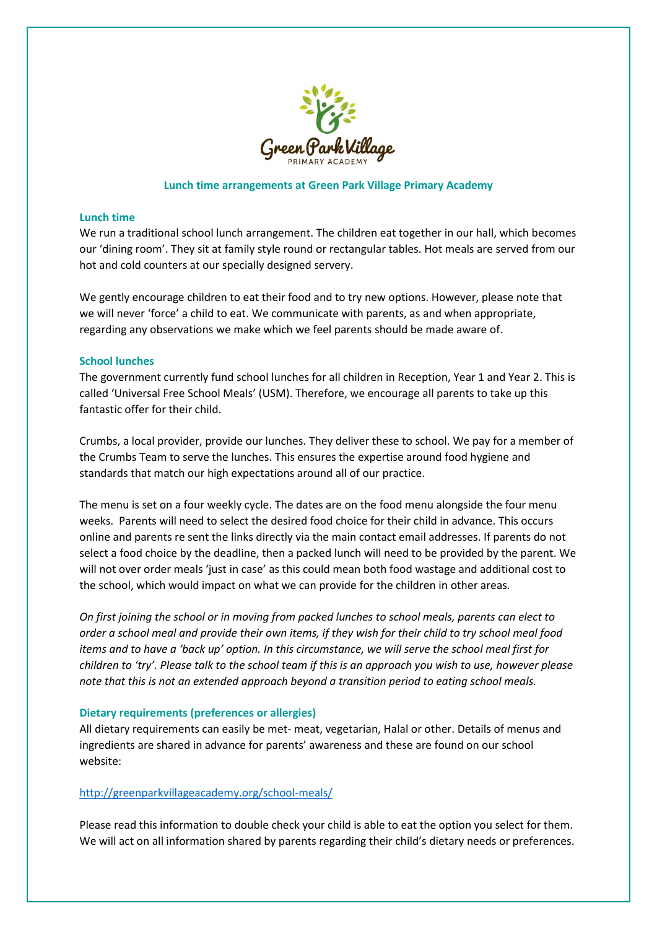

## **Lunch time arrangements at Green Park Village Primary Academy**

### **Lunch time**

We run a traditional school lunch arrangement. The children eat together in our hall, which becomes our 'dining room'. They sit at family style round or rectangular tables. Hot meals are served from our hot and cold counters at our specially designed servery.

We gently encourage children to eat their food and to try new options. However, please note that we will never 'force' a child to eat. We communicate with parents, as and when appropriate, regarding any observations we make which we feel parents should be made aware of.

#### **School lunches**

The government currently fund school lunches for all children in Reception, Year 1 and Year 2. This is called 'Universal Free School Meals' (USM). Therefore, we encourage all parents to take up this fantastic offer for their child.

Crumbs, a local provider, provide our lunches. They deliver these to school. We pay for a member of the Crumbs Team to serve the lunches. This ensures the expertise around food hygiene and standards that match our high expectations around all of our practice.

The menu is set on a four weekly cycle. The dates are on the food menu alongside the four menu weeks. Parents will need to select the desired food choice for their child in advance. This occurs online and parents re sent the links directly via the main contact email addresses. If parents do not select a food choice by the deadline, then a packed lunch will need to be provided by the parent. We will not over order meals 'just in case' as this could mean both food wastage and additional cost to the school, which would impact on what we can provide for the children in other areas*.* 

*On first joining the school or in moving from packed lunches to school meals, parents can elect to order a school meal and provide their own items, if they wish for their child to try school meal food items and to have a 'back up' option. In this circumstance, we will serve the school meal first for children to 'try'. Please talk to the school team if this is an approach you wish to use, however please note that this is not an extended approach beyond a transition period to eating school meals.* 

### **Dietary requirements (preferences or allergies)**

All dietary requirements can easily be met- meat, vegetarian, Halal or other. Details of menus and ingredients are shared in advance for parents' awareness and these are found on our school website:

## <http://greenparkvillageacademy.org/school-meals/>

Please read this information to double check your child is able to eat the option you select for them. We will act on all information shared by parents regarding their child's dietary needs or preferences.